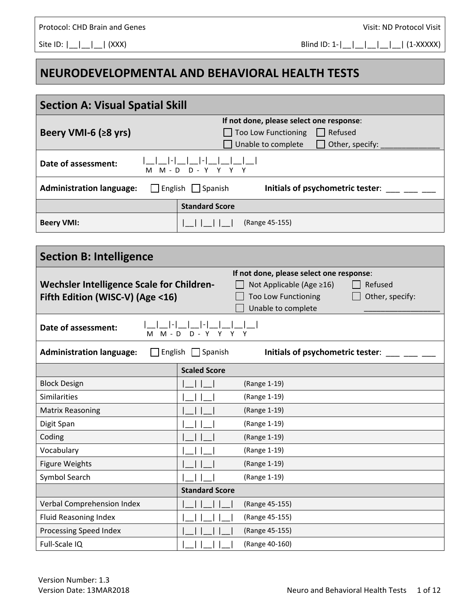Protocol: CHD Brain and Genes *Protocol:* CHD Brain and Genes *CHD* 

Site ID:  $| \_| \_| \_|$  (XXX) Blind ID: 1- $| \_| \_| \_| \_|$  (1-XXXXX)

## **NEURODEVELOPMENTAL AND BEHAVIORAL HEALTH TESTS**

| <b>Section A: Visual Spatial Skill</b>                                                                                                                                                                                                         |                                                                                                                            |  |  |
|------------------------------------------------------------------------------------------------------------------------------------------------------------------------------------------------------------------------------------------------|----------------------------------------------------------------------------------------------------------------------------|--|--|
| Beery VMI-6 ( $\geq$ 8 yrs)                                                                                                                                                                                                                    | If not done, please select one response:<br>Refused<br><b>Too Low Functioning</b><br>Unable to complete<br>Other, specify: |  |  |
| Date of assessment:<br>M - D<br>м                                                                                                                                                                                                              | $D - Y$                                                                                                                    |  |  |
| <b>Administration language:</b>                                                                                                                                                                                                                | $\Box$ English $\Box$ Spanish<br>Initials of psychometric tester:                                                          |  |  |
|                                                                                                                                                                                                                                                | <b>Standard Score</b>                                                                                                      |  |  |
| <b>Beery VMI:</b>                                                                                                                                                                                                                              | (Range 45-155)                                                                                                             |  |  |
|                                                                                                                                                                                                                                                |                                                                                                                            |  |  |
| <b>Section B: Intelligence</b>                                                                                                                                                                                                                 |                                                                                                                            |  |  |
| If not done, please select one response:<br><b>Wechsler Intelligence Scale for Children-</b><br>Not Applicable (Age ≥16)<br>Refused<br>Fifth Edition (WISC-V) (Age <16)<br><b>Too Low Functioning</b><br>Other, specify:<br>Unable to complete |                                                                                                                            |  |  |
| Date of assessment:<br>M M - D D - Y Y Y Y                                                                                                                                                                                                     |                                                                                                                            |  |  |
| <b>Administration language:</b><br>English $\Box$ Spanish<br>Initials of psychometric tester:<br>$\mathbf{1}$                                                                                                                                  |                                                                                                                            |  |  |
|                                                                                                                                                                                                                                                | <b>Scaled Score</b>                                                                                                        |  |  |
| <b>Block Design</b>                                                                                                                                                                                                                            | (Range 1-19)                                                                                                               |  |  |
| Similarities                                                                                                                                                                                                                                   | (Range 1-19)                                                                                                               |  |  |
| <b>Matrix Reasoning</b>                                                                                                                                                                                                                        | (Range 1-19)                                                                                                               |  |  |
| Digit Span                                                                                                                                                                                                                                     | (Range 1-19)                                                                                                               |  |  |
| Coding                                                                                                                                                                                                                                         | $\mathbf{I}$<br>(Range 1-19)                                                                                               |  |  |
| Vocabulary                                                                                                                                                                                                                                     | (Range 1-19)                                                                                                               |  |  |
| <b>Figure Weights</b>                                                                                                                                                                                                                          | (Range 1-19)                                                                                                               |  |  |
| Symbol Search                                                                                                                                                                                                                                  | (Range 1-19)                                                                                                               |  |  |
|                                                                                                                                                                                                                                                | <b>Standard Score</b>                                                                                                      |  |  |
| Verbal Comprehension Index                                                                                                                                                                                                                     | (Range 45-155)                                                                                                             |  |  |
| <b>Fluid Reasoning Index</b>                                                                                                                                                                                                                   | (Range 45-155)                                                                                                             |  |  |
| <b>Processing Speed Index</b>                                                                                                                                                                                                                  | (Range 45-155)                                                                                                             |  |  |
| Full-Scale IQ                                                                                                                                                                                                                                  | (Range 40-160)                                                                                                             |  |  |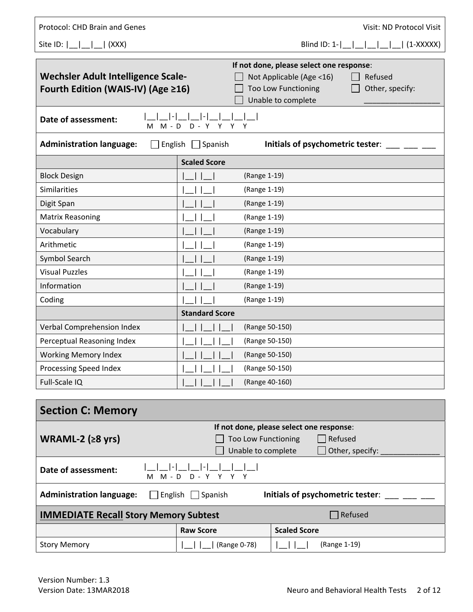| Protocol: CHD Brain and Genes                                                                 |                       | Visit: ND Protocol Visit                                                        |
|-----------------------------------------------------------------------------------------------|-----------------------|---------------------------------------------------------------------------------|
| Site ID: $\begin{bmatrix} 0 \\ 1 \end{bmatrix}$ $\begin{bmatrix} 0 \\ 1 \end{bmatrix}$ (XXX)  |                       | Blind ID: $1 -$      <br>$(1-XXXX)$                                             |
|                                                                                               |                       |                                                                                 |
| Wechsler Adult Intelligence Scale-                                                            |                       | If not done, please select one response:<br>Not Applicable (Age <16)<br>Refused |
| Fourth Edition (WAIS-IV) (Age ≥16)                                                            |                       | <b>Too Low Functioning</b><br>Other, specify:                                   |
|                                                                                               |                       | Unable to complete                                                              |
| Date of assessment:<br>$M - D$<br>м                                                           | $D -$<br>Y<br>Υ       | Y<br>Υ                                                                          |
| <b>Administration language:</b><br>English $\Box$ Spanish<br>Initials of psychometric tester: |                       |                                                                                 |
|                                                                                               | <b>Scaled Score</b>   |                                                                                 |
| <b>Block Design</b>                                                                           |                       | (Range 1-19)                                                                    |
| <b>Similarities</b>                                                                           |                       | (Range 1-19)                                                                    |
| Digit Span                                                                                    |                       | (Range 1-19)                                                                    |
| <b>Matrix Reasoning</b>                                                                       |                       | (Range 1-19)                                                                    |
| Vocabulary                                                                                    |                       | (Range 1-19)                                                                    |
| Arithmetic                                                                                    |                       | (Range 1-19)                                                                    |
| Symbol Search                                                                                 |                       | (Range 1-19)                                                                    |
| <b>Visual Puzzles</b>                                                                         |                       | (Range 1-19)                                                                    |
| Information                                                                                   |                       | (Range 1-19)                                                                    |
| Coding                                                                                        |                       | (Range 1-19)                                                                    |
|                                                                                               | <b>Standard Score</b> |                                                                                 |
| Verbal Comprehension Index                                                                    |                       | (Range 50-150)                                                                  |
| Perceptual Reasoning Index                                                                    |                       | (Range 50-150)                                                                  |
| <b>Working Memory Index</b>                                                                   |                       | (Range 50-150)                                                                  |
| Processing Speed Index                                                                        |                       | (Range 50-150)                                                                  |
| Full-Scale IQ                                                                                 |                       | (Range 40-160)                                                                  |

| <b>Section C: Memory</b>                     |                                                                               |                            |                     |
|----------------------------------------------|-------------------------------------------------------------------------------|----------------------------|---------------------|
|                                              | If not done, please select one response:                                      |                            |                     |
| WRAML-2 ( $\geq 8$ yrs)                      |                                                                               | <b>Too Low Functioning</b> | $\Box$ Refused      |
|                                              |                                                                               | Unable to complete         | Other, specify:     |
| Date of assessment:                          | м                                                                             | M-D D-Y Y Y Y              |                     |
| <b>Administration language:</b>              | English $\Box$<br>Spanish<br>Initials of psychometric tester:<br>$\mathbf{I}$ |                            |                     |
| <b>IMMEDIATE Recall Story Memory Subtest</b> |                                                                               |                            | $\exists$ Refused   |
|                                              |                                                                               | <b>Raw Score</b>           | <b>Scaled Score</b> |
| <b>Story Memory</b>                          |                                                                               | (Range 0-78)               | (Range 1-19)        |

Г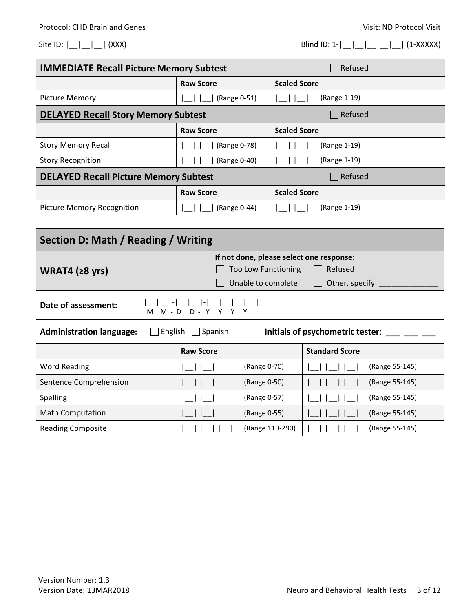Site ID: |\_\_|\_\_| (XXX) Blind ID: 1-|\_\_|\_\_|\_\_|\_\_| (1-XXXXX)

| <b>IMMEDIATE Recall Picture Memory Subtest</b> |                  | Refused             |
|------------------------------------------------|------------------|---------------------|
|                                                | <b>Raw Score</b> | <b>Scaled Score</b> |
| <b>Picture Memory</b>                          | (Range 0-51)     | (Range 1-19)        |
| <b>DELAYED Recall Story Memory Subtest</b>     |                  | Refused             |
|                                                | <b>Raw Score</b> | <b>Scaled Score</b> |
| <b>Story Memory Recall</b>                     | (Range 0-78)     | (Range 1-19)        |
| <b>Story Recognition</b>                       | (Range 0-40)     | (Range 1-19)        |
| <b>DELAYED Recall Picture Memory Subtest</b>   |                  | Refused             |
|                                                | <b>Raw Score</b> | <b>Scaled Score</b> |
| Picture Memory Recognition                     | (Range 0-44)     | (Range 1-19)        |

| Section D: Math / Reading / Writing                                                                       |                                          |                            |                       |                |
|-----------------------------------------------------------------------------------------------------------|------------------------------------------|----------------------------|-----------------------|----------------|
|                                                                                                           | If not done, please select one response: |                            |                       |                |
| WRAT4 $(28 \text{ yrs})$                                                                                  |                                          | <b>Too Low Functioning</b> | Refused               |                |
|                                                                                                           |                                          | Unable to complete         | Other, specify:       |                |
| Date of assessment:<br>M - D<br>YYYY<br>$D -$<br>м                                                        |                                          |                            |                       |                |
| <b>Administration language:</b><br>English<br>Spanish<br>Initials of psychometric tester:<br>$\mathbf{I}$ |                                          |                            |                       |                |
|                                                                                                           | <b>Raw Score</b>                         |                            | <b>Standard Score</b> |                |
| <b>Word Reading</b>                                                                                       |                                          | (Range 0-70)               |                       | (Range 55-145) |
| Sentence Comprehension                                                                                    |                                          | (Range 0-50)               |                       | (Range 55-145) |
| Spelling                                                                                                  |                                          | (Range 0-57)               |                       | (Range 55-145) |
| <b>Math Computation</b>                                                                                   |                                          | (Range 0-55)               |                       | (Range 55-145) |
| <b>Reading Composite</b>                                                                                  |                                          | (Range 110-290)            |                       | (Range 55-145) |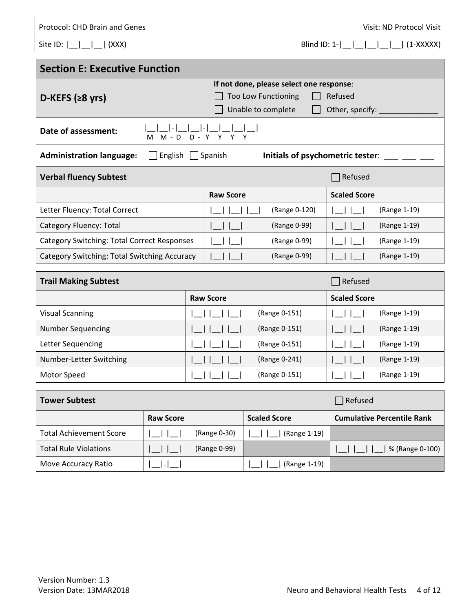| Protocol: CHD Brain and Genes |  |  |
|-------------------------------|--|--|
|                               |  |  |

Visit: ND Protocol Visit

Site ID:  $|\_| = |\_| = |\_$  (XXX) Blind ID: 1- $|\_| = |\_| = |\_| = |\_$  (1-XXXXX)

| <b>Section E: Executive Function</b>                                                             |                                                     |                     |  |
|--------------------------------------------------------------------------------------------------|-----------------------------------------------------|---------------------|--|
|                                                                                                  | If not done, please select one response:<br>Refused |                     |  |
| D-KEFS $(28 \text{ yrs})$                                                                        | <b>Too Low Functioning</b><br>Unable to complete    | Other, specify:     |  |
| Date of assessment:<br>$M - D$<br>м                                                              | $D - Y Y Y Y$                                       |                     |  |
| <b>Administration language:</b><br>English<br>$\Box$ Spanish<br>Initials of psychometric tester: |                                                     |                     |  |
| <b>Verbal fluency Subtest</b>                                                                    |                                                     | Refused             |  |
|                                                                                                  | <b>Raw Score</b>                                    | <b>Scaled Score</b> |  |
| Letter Fluency: Total Correct                                                                    | (Range 0-120)                                       | (Range 1-19)        |  |
| Category Fluency: Total                                                                          | (Range 0-99)                                        | (Range 1-19)        |  |
| <b>Category Switching: Total Correct Responses</b>                                               | (Range 0-99)                                        | (Range 1-19)        |  |
| Category Switching: Total Switching Accuracy                                                     | (Range 0-99)                                        | (Range 1-19)        |  |
| <b>Trail Making Subtest</b>                                                                      |                                                     | Refused             |  |

| <b>Trail Making Subtest</b> |                  |               | Refused             |              |
|-----------------------------|------------------|---------------|---------------------|--------------|
|                             | <b>Raw Score</b> |               | <b>Scaled Score</b> |              |
| <b>Visual Scanning</b>      |                  | (Range 0-151) |                     | (Range 1-19) |
| <b>Number Sequencing</b>    |                  | (Range 0-151) |                     | (Range 1-19) |
| Letter Sequencing           |                  | (Range 0-151) |                     | (Range 1-19) |
| Number-Letter Switching     |                  | (Range 0-241) |                     | (Range 1-19) |
| Motor Speed                 |                  | (Range 0-151) |                     | (Range 1-19) |

| <b>Tower Subtest</b><br>$\blacksquare$ Refused |                  |              |                     |                                   |
|------------------------------------------------|------------------|--------------|---------------------|-----------------------------------|
|                                                | <b>Raw Score</b> |              | <b>Scaled Score</b> | <b>Cumulative Percentile Rank</b> |
| <b>Total Achievement Score</b>                 |                  | (Range 0-30) | (Range 1-19)        |                                   |
| <b>Total Rule Violations</b>                   |                  | (Range 0-99) |                     | % (Range 0-100)                   |
| Move Accuracy Ratio                            |                  |              | (Range 1-19)        |                                   |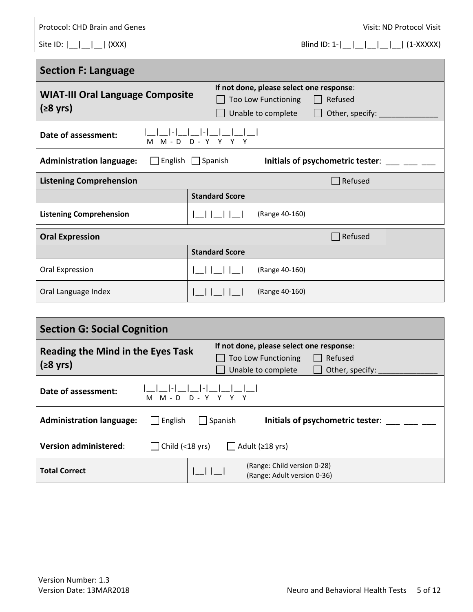| <b>Protocol: CHD Brain and Genes</b>                          | Visit: ND Protocol Visit                                                                                                  |
|---------------------------------------------------------------|---------------------------------------------------------------------------------------------------------------------------|
| Site ID: $\begin{bmatrix} 1 & 1 \\ 1 & 1 \end{bmatrix}$ (XXX) |                                                                                                                           |
| <b>Section F: Language</b>                                    |                                                                                                                           |
| <b>WIAT-III Oral Language Composite</b><br>$(28 \text{ yrs})$ | If not done, please select one response:<br>Refused<br>Too Low Functioning<br>Other, specify: _____<br>Unable to complete |
| Date of assessment:                                           | M M - D D - Y Y Y Y                                                                                                       |
| <b>Administration language:</b> Figlish Spanish               | Initials of psychometric tester:                                                                                          |
| <b>Listening Comprehension</b>                                | <b>Refused</b>                                                                                                            |
|                                                               | <b>Standard Score</b>                                                                                                     |
| <b>Listening Comprehension</b>                                | (Range 40-160)                                                                                                            |
| <b>Oral Expression</b>                                        | Refused                                                                                                                   |
|                                                               | <b>Standard Score</b>                                                                                                     |
| Oral Expression                                               | (Range 40-160)                                                                                                            |
| Oral Language Index                                           | (Range 40-160)                                                                                                            |

| <b>Section G: Social Cognition</b>                             |                                                                                                                            |  |  |
|----------------------------------------------------------------|----------------------------------------------------------------------------------------------------------------------------|--|--|
| <b>Reading the Mind in the Eyes Task</b><br>$(28 \text{ yrs})$ | If not done, please select one response:<br>Refused<br><b>Too Low Functioning</b><br>Other, specify:<br>Unable to complete |  |  |
| Date of assessment:<br>M M - D D - Y Y Y Y                     |                                                                                                                            |  |  |
| <b>Administration language:</b><br>English                     | Initials of psychometric tester:<br>Spanish                                                                                |  |  |
| <b>Version administered:</b><br>Child $(<$ 18 yrs)             | $\Box$ Adult ( $\geq$ 18 yrs)                                                                                              |  |  |
| <b>Total Correct</b>                                           | (Range: Child version 0-28)<br>(Range: Adult version 0-36)                                                                 |  |  |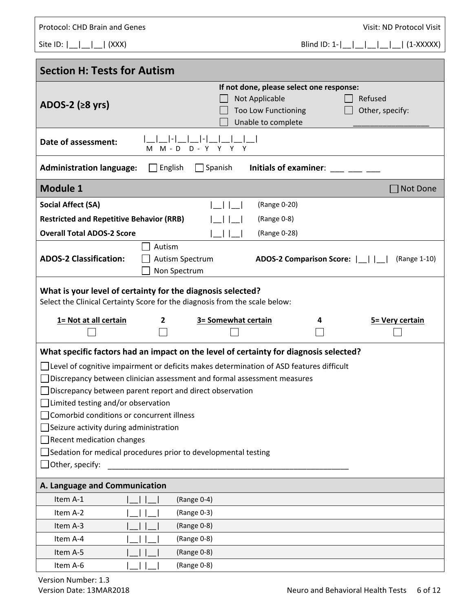| Protocol: CHD Brain and Genes                                                                                                                                                                                                                                                                                                                                                                                                                                                                                                                                                                        | Visit: ND Protocol Visit                                                                                                                   |  |  |  |
|------------------------------------------------------------------------------------------------------------------------------------------------------------------------------------------------------------------------------------------------------------------------------------------------------------------------------------------------------------------------------------------------------------------------------------------------------------------------------------------------------------------------------------------------------------------------------------------------------|--------------------------------------------------------------------------------------------------------------------------------------------|--|--|--|
| Site ID: $\begin{bmatrix} 1 & 1 \\ 1 & 1 \end{bmatrix}$ (XXX)                                                                                                                                                                                                                                                                                                                                                                                                                                                                                                                                        |                                                                                                                                            |  |  |  |
|                                                                                                                                                                                                                                                                                                                                                                                                                                                                                                                                                                                                      |                                                                                                                                            |  |  |  |
| <b>Section H: Tests for Autism</b>                                                                                                                                                                                                                                                                                                                                                                                                                                                                                                                                                                   |                                                                                                                                            |  |  |  |
| ADOS-2 ( $\geq 8$ yrs)                                                                                                                                                                                                                                                                                                                                                                                                                                                                                                                                                                               | If not done, please select one response:<br>Not Applicable<br>Refused<br>Too Low Functioning<br>Other, specify:<br>Unable to complete      |  |  |  |
| Date of assessment:<br>$D - Y$<br>M - D<br>м                                                                                                                                                                                                                                                                                                                                                                                                                                                                                                                                                         | Y Y                                                                                                                                        |  |  |  |
| <b>Administration language:</b><br>English                                                                                                                                                                                                                                                                                                                                                                                                                                                                                                                                                           | Initials of examiner:<br>$\Box$ Spanish                                                                                                    |  |  |  |
| <b>Module 1</b>                                                                                                                                                                                                                                                                                                                                                                                                                                                                                                                                                                                      | Not Done                                                                                                                                   |  |  |  |
| <b>Social Affect (SA)</b>                                                                                                                                                                                                                                                                                                                                                                                                                                                                                                                                                                            | (Range 0-20)                                                                                                                               |  |  |  |
| <b>Restricted and Repetitive Behavior (RRB)</b>                                                                                                                                                                                                                                                                                                                                                                                                                                                                                                                                                      | (Range 0-8)                                                                                                                                |  |  |  |
| <b>Overall Total ADOS-2 Score</b>                                                                                                                                                                                                                                                                                                                                                                                                                                                                                                                                                                    | (Range 0-28)                                                                                                                               |  |  |  |
| Autism<br><b>ADOS-2 Classification:</b><br>Autism Spectrum<br>Non Spectrum                                                                                                                                                                                                                                                                                                                                                                                                                                                                                                                           | ADOS-2 Comparison Score:           (Range 1-10)                                                                                            |  |  |  |
|                                                                                                                                                                                                                                                                                                                                                                                                                                                                                                                                                                                                      | What is your level of certainty for the diagnosis selected?<br>Select the Clinical Certainty Score for the diagnosis from the scale below: |  |  |  |
| 1= Not at all certain<br>$\overline{2}$                                                                                                                                                                                                                                                                                                                                                                                                                                                                                                                                                              | 3= Somewhat certain<br>5 = Very certain<br>4                                                                                               |  |  |  |
| What specific factors had an impact on the level of certainty for diagnosis selected?<br>□ Level of cognitive impairment or deficits makes determination of ASD features difficult<br>Discrepancy between clinician assessment and formal assessment measures<br>Discrepancy between parent report and direct observation<br>$\Box$ Limited testing and/or observation<br>Comorbid conditions or concurrent illness<br>$\Box$ Seizure activity during administration<br>$\Box$ Recent medication changes<br>Sedation for medical procedures prior to developmental testing<br>$\Box$ Other, specify: |                                                                                                                                            |  |  |  |
| A. Language and Communication                                                                                                                                                                                                                                                                                                                                                                                                                                                                                                                                                                        |                                                                                                                                            |  |  |  |
| Item A-1<br>(Range 0-4)                                                                                                                                                                                                                                                                                                                                                                                                                                                                                                                                                                              |                                                                                                                                            |  |  |  |
| (Range 0-3)<br>Item A-2                                                                                                                                                                                                                                                                                                                                                                                                                                                                                                                                                                              |                                                                                                                                            |  |  |  |
| Item A-3<br>(Range 0-8)                                                                                                                                                                                                                                                                                                                                                                                                                                                                                                                                                                              |                                                                                                                                            |  |  |  |
| Item A-4<br>(Range 0-8)                                                                                                                                                                                                                                                                                                                                                                                                                                                                                                                                                                              |                                                                                                                                            |  |  |  |
| Item A-5<br>(Range 0-8)                                                                                                                                                                                                                                                                                                                                                                                                                                                                                                                                                                              |                                                                                                                                            |  |  |  |
| Item A-6<br>(Range 0-8)                                                                                                                                                                                                                                                                                                                                                                                                                                                                                                                                                                              |                                                                                                                                            |  |  |  |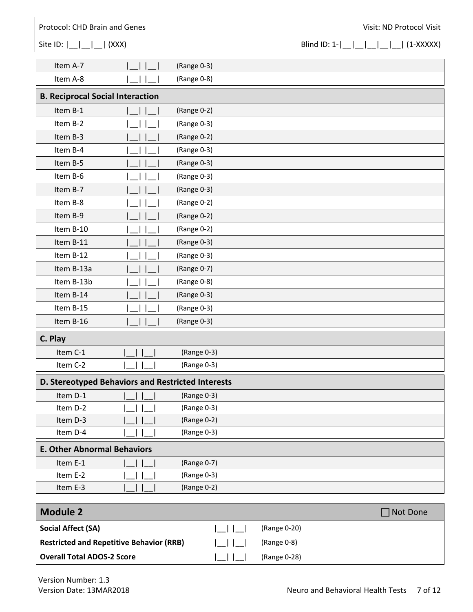## Protocol: CHD Brain and Genes *Protocol:* CHD Brain and Genes *CHD*

Site ID: |\_\_|\_\_| (XXX) Blind ID: 1-|\_\_|\_\_|\_\_|\_\_|\_\_| (1-XXXXX)

| Item A-7                                          |                                                     | (Range 0-3) |
|---------------------------------------------------|-----------------------------------------------------|-------------|
| Item A-8                                          |                                                     | (Range 0-8) |
| <b>B. Reciprocal Social Interaction</b>           |                                                     |             |
| Item B-1                                          |                                                     | (Range 0-2) |
| Item B-2                                          |                                                     | (Range 0-3) |
| Item B-3                                          |                                                     | (Range 0-2) |
| Item B-4                                          |                                                     | (Range 0-3) |
| Item B-5                                          |                                                     | (Range 0-3) |
| Item B-6                                          |                                                     | (Range 0-3) |
| Item B-7                                          |                                                     | (Range 0-3) |
| Item B-8                                          |                                                     | (Range 0-2) |
| Item B-9                                          |                                                     | (Range 0-2) |
| Item B-10                                         |                                                     | (Range 0-2) |
| Item B-11                                         |                                                     | (Range 0-3) |
| Item B-12                                         |                                                     | (Range 0-3) |
| Item B-13a                                        |                                                     | (Range 0-7) |
| Item B-13b                                        |                                                     | (Range 0-8) |
| Item B-14                                         |                                                     | (Range 0-3) |
| Item B-15                                         |                                                     | (Range 0-3) |
| Item B-16                                         |                                                     | (Range 0-3) |
| C. Play                                           |                                                     |             |
| Item C-1                                          |                                                     | (Range 0-3) |
| Item C-2                                          |                                                     | (Range 0-3) |
| D. Stereotyped Behaviors and Restricted Interests |                                                     |             |
| Item D-1                                          |                                                     | (Range 0-3) |
| Item D-2                                          | $\mathbf{1}$ $\mathbf{1}$ $\mathbf{1}$ $\mathbf{1}$ | (Range 0-3) |
| Item D-3                                          |                                                     | (Range 0-2) |
| Item D-4                                          |                                                     | (Range 0-3) |
| <b>E. Other Abnormal Behaviors</b>                |                                                     |             |
| Item E-1                                          |                                                     | (Range 0-7) |
| Item E-2                                          |                                                     | (Range 0-3) |
| Item E-3                                          |                                                     | (Range 0-2) |

| Module 2                                        |              | Not Done |
|-------------------------------------------------|--------------|----------|
| <b>Social Affect (SA)</b>                       | (Range 0-20) |          |
| <b>Restricted and Repetitive Behavior (RRB)</b> | (Range 0-8)  |          |
| <b>Overall Total ADOS-2 Score</b>               | (Range 0-28) |          |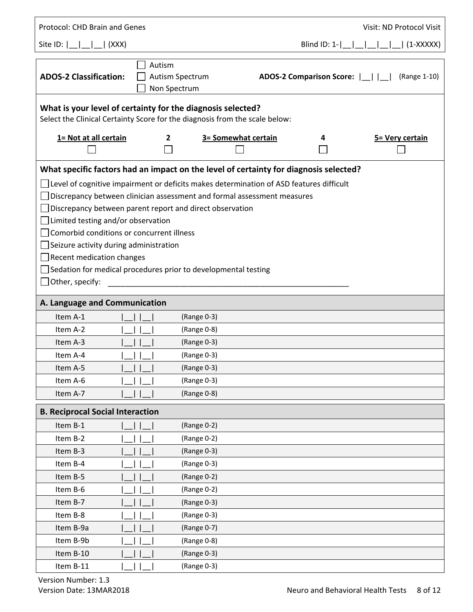| Protocol: CHD Brain and Genes                                                                                                                            |                                           |                                                                                                                                                                                                                                                                                                                |   | Visit: ND Protocol Visit                        |
|----------------------------------------------------------------------------------------------------------------------------------------------------------|-------------------------------------------|----------------------------------------------------------------------------------------------------------------------------------------------------------------------------------------------------------------------------------------------------------------------------------------------------------------|---|-------------------------------------------------|
| Site ID: $\begin{bmatrix} 1 & 1 \\ 1 & 1 \end{bmatrix}$ (XXX)                                                                                            |                                           |                                                                                                                                                                                                                                                                                                                |   |                                                 |
| <b>ADOS-2 Classification:</b>                                                                                                                            | Autism                                    | Autism Spectrum<br>Non Spectrum                                                                                                                                                                                                                                                                                |   | ADOS-2 Comparison Score:           (Range 1-10) |
|                                                                                                                                                          |                                           | What is your level of certainty for the diagnosis selected?<br>Select the Clinical Certainty Score for the diagnosis from the scale below:                                                                                                                                                                     |   |                                                 |
| 1= Not at all certain                                                                                                                                    | $\mathbf{2}$                              | 3= Somewhat certain                                                                                                                                                                                                                                                                                            | 4 | 5 = Very certain                                |
|                                                                                                                                                          |                                           | What specific factors had an impact on the level of certainty for diagnosis selected?                                                                                                                                                                                                                          |   |                                                 |
| $\Box$ Limited testing and/or observation<br>$\Box$ Seizure activity during administration<br>$\Box$ Recent medication changes<br>$\Box$ Other, specify: | Comorbid conditions or concurrent illness | $\Box$ Level of cognitive impairment or deficits makes determination of ASD features difficult<br>Discrepancy between clinician assessment and formal assessment measures<br>$\Box$ Discrepancy between parent report and direct observation<br>Sedation for medical procedures prior to developmental testing |   |                                                 |
| A. Language and Communication                                                                                                                            |                                           |                                                                                                                                                                                                                                                                                                                |   |                                                 |
| Item A-1                                                                                                                                                 |                                           | (Range 0-3)                                                                                                                                                                                                                                                                                                    |   |                                                 |
| Item A-2                                                                                                                                                 |                                           | (Range 0-8)                                                                                                                                                                                                                                                                                                    |   |                                                 |
| Item A-3                                                                                                                                                 |                                           | (Range 0-3)                                                                                                                                                                                                                                                                                                    |   |                                                 |
| Item A-4                                                                                                                                                 |                                           | (Range 0-3)                                                                                                                                                                                                                                                                                                    |   |                                                 |
| Item A-5                                                                                                                                                 |                                           | (Range 0-3)                                                                                                                                                                                                                                                                                                    |   |                                                 |
| Item A-6                                                                                                                                                 |                                           | (Range 0-3)                                                                                                                                                                                                                                                                                                    |   |                                                 |
| Item A-7                                                                                                                                                 |                                           | (Range 0-8)                                                                                                                                                                                                                                                                                                    |   |                                                 |
| <b>B. Reciprocal Social Interaction</b>                                                                                                                  |                                           |                                                                                                                                                                                                                                                                                                                |   |                                                 |
| Item B-1                                                                                                                                                 |                                           | (Range 0-2)                                                                                                                                                                                                                                                                                                    |   |                                                 |
| Item B-2                                                                                                                                                 |                                           | (Range 0-2)                                                                                                                                                                                                                                                                                                    |   |                                                 |
| Item B-3                                                                                                                                                 |                                           | (Range 0-3)                                                                                                                                                                                                                                                                                                    |   |                                                 |
| Item B-4                                                                                                                                                 |                                           | (Range 0-3)                                                                                                                                                                                                                                                                                                    |   |                                                 |
| Item B-5                                                                                                                                                 |                                           | (Range 0-2)                                                                                                                                                                                                                                                                                                    |   |                                                 |
| Item B-6                                                                                                                                                 |                                           | (Range 0-2)                                                                                                                                                                                                                                                                                                    |   |                                                 |
| Item B-7                                                                                                                                                 |                                           | (Range 0-3)                                                                                                                                                                                                                                                                                                    |   |                                                 |
| Item B-8                                                                                                                                                 |                                           | (Range 0-3)                                                                                                                                                                                                                                                                                                    |   |                                                 |
| Item B-9a                                                                                                                                                |                                           | (Range 0-7)                                                                                                                                                                                                                                                                                                    |   |                                                 |
| Item B-9b                                                                                                                                                |                                           | (Range 0-8)                                                                                                                                                                                                                                                                                                    |   |                                                 |
| Item B-10                                                                                                                                                |                                           | (Range 0-3)                                                                                                                                                                                                                                                                                                    |   |                                                 |
| Item B-11                                                                                                                                                |                                           | (Range 0-3)                                                                                                                                                                                                                                                                                                    |   |                                                 |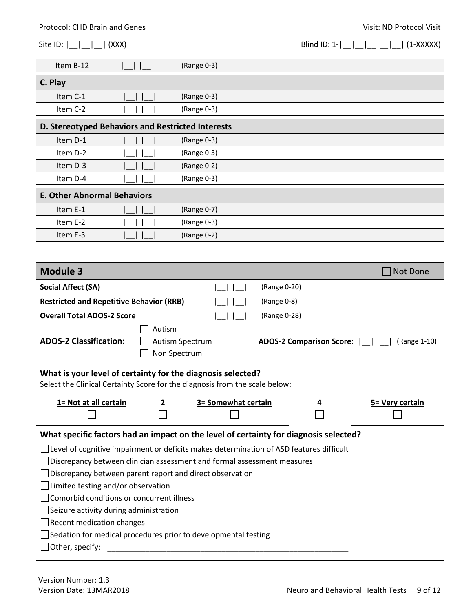| Protocol: CHD Brain and Genes                                                                  |              |                     |                          |                | Visit: ND Protocol Visit |
|------------------------------------------------------------------------------------------------|--------------|---------------------|--------------------------|----------------|--------------------------|
| $\vert$ (XXX)<br>Site ID: $ \_ \_ \_$                                                          |              |                     |                          | Blind $ID: 1-$ | $(1-XXXX)$               |
| Item B-12                                                                                      |              | (Range 0-3)         |                          |                |                          |
| C. Play                                                                                        |              |                     |                          |                |                          |
| Item C-1                                                                                       |              | (Range 0-3)         |                          |                |                          |
| Item C-2                                                                                       |              | (Range 0-3)         |                          |                |                          |
| D. Stereotyped Behaviors and Restricted Interests                                              |              |                     |                          |                |                          |
| Item D-1                                                                                       |              | (Range 0-3)         |                          |                |                          |
| Item D-2                                                                                       |              | (Range 0-3)         |                          |                |                          |
| Item D-3                                                                                       |              | (Range 0-2)         |                          |                |                          |
| Item D-4                                                                                       |              | (Range 0-3)         |                          |                |                          |
| <b>E. Other Abnormal Behaviors</b>                                                             |              |                     |                          |                |                          |
| Item E-1                                                                                       |              | (Range 0-7)         |                          |                |                          |
| Item E-2                                                                                       |              | (Range 0-3)         |                          |                |                          |
| Item E-3                                                                                       |              | (Range 0-2)         |                          |                |                          |
|                                                                                                |              |                     |                          |                |                          |
| <b>Module 3</b>                                                                                |              |                     |                          |                | Not Done                 |
| <b>Social Affect (SA)</b>                                                                      |              |                     | (Range 0-20)             |                |                          |
| <b>Restricted and Repetitive Behavior (RRB)</b>                                                |              |                     | (Range 0-8)              |                |                          |
| <b>Overall Total ADOS-2 Score</b>                                                              |              |                     | (Range 0-28)             |                |                          |
|                                                                                                | Autism       |                     |                          |                |                          |
| <b>ADOS-2 Classification:</b>                                                                  |              | Autism Spectrum     | ADOS-2 Comparison Score: |                | (Range 1-10)             |
|                                                                                                |              | Non Spectrum        |                          |                |                          |
| What is your level of certainty for the diagnosis selected?                                    |              |                     |                          |                |                          |
| Select the Clinical Certainty Score for the diagnosis from the scale below:                    |              |                     |                          |                |                          |
| 1= Not at all certain                                                                          | $\mathbf{2}$ | 3= Somewhat certain | 4                        |                | 5= Very certain          |
|                                                                                                |              |                     |                          |                |                          |
| What specific factors had an impact on the level of certainty for diagnosis selected?          |              |                     |                          |                |                          |
| $\Box$ Level of cognitive impairment or deficits makes determination of ASD features difficult |              |                     |                          |                |                          |
| Discrepancy between clinician assessment and formal assessment measures                        |              |                     |                          |                |                          |
| Discrepancy between parent report and direct observation                                       |              |                     |                          |                |                          |
| Limited testing and/or observation                                                             |              |                     |                          |                |                          |
| Comorbid conditions or concurrent illness                                                      |              |                     |                          |                |                          |
| Seizure activity during administration                                                         |              |                     |                          |                |                          |
|                                                                                                |              |                     |                          |                |                          |
| Recent medication changes                                                                      |              |                     |                          |                |                          |
| Sedation for medical procedures prior to developmental testing                                 |              |                     |                          |                |                          |
| $\Box$ Other, specify:                                                                         |              |                     |                          |                |                          |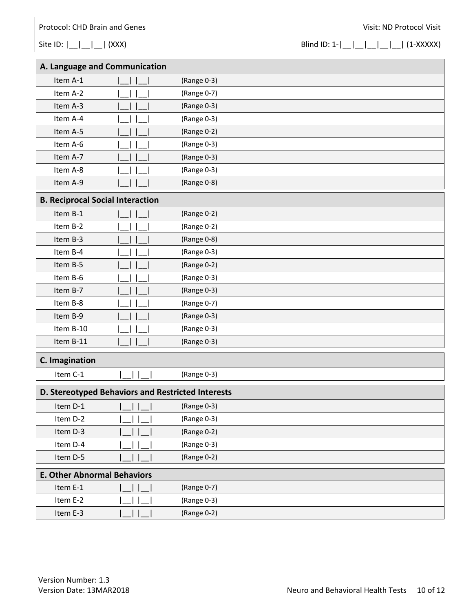Site ID: |\_\_|\_\_| (XXX) Blind ID: 1-|\_\_|\_\_|\_\_|\_\_| (1-XXXXX)

| A. Language and Communication                     |                                 |             |  |  |
|---------------------------------------------------|---------------------------------|-------------|--|--|
| Item A-1                                          |                                 | (Range 0-3) |  |  |
| Item A-2                                          |                                 | (Range 0-7) |  |  |
| Item A-3                                          |                                 | (Range 0-3) |  |  |
| Item A-4                                          |                                 | (Range 0-3) |  |  |
| Item A-5                                          |                                 | (Range 0-2) |  |  |
| Item A-6                                          |                                 | (Range 0-3) |  |  |
| Item A-7                                          |                                 | (Range 0-3) |  |  |
| Item A-8                                          |                                 | (Range 0-3) |  |  |
| Item A-9                                          |                                 | (Range 0-8) |  |  |
| <b>B. Reciprocal Social Interaction</b>           |                                 |             |  |  |
| Item B-1                                          |                                 | (Range 0-2) |  |  |
| Item B-2                                          |                                 | (Range 0-2) |  |  |
| Item B-3                                          |                                 | (Range 0-8) |  |  |
| Item B-4                                          |                                 | (Range 0-3) |  |  |
| Item B-5                                          |                                 | (Range 0-2) |  |  |
| Item B-6                                          |                                 | (Range 0-3) |  |  |
| Item B-7                                          |                                 | (Range 0-3) |  |  |
| Item B-8                                          |                                 | (Range 0-7) |  |  |
| Item B-9                                          |                                 | (Range 0-3) |  |  |
| Item B-10                                         |                                 | (Range 0-3) |  |  |
| Item B-11                                         |                                 | (Range 0-3) |  |  |
| C. Imagination                                    |                                 |             |  |  |
| Item C-1                                          |                                 | (Range 0-3) |  |  |
| D. Stereotyped Behaviors and Restricted Interests |                                 |             |  |  |
| Item D-1                                          | $ $ $ $ $ $ $ $ $ $ $ $ $ $ $ $ | (Range 0-3) |  |  |
| Item D-2                                          |                                 | (Range 0-3) |  |  |
| Item D-3                                          |                                 | (Range 0-2) |  |  |
| Item D-4                                          |                                 | (Range 0-3) |  |  |
| Item D-5                                          |                                 | (Range 0-2) |  |  |
| <b>E. Other Abnormal Behaviors</b>                |                                 |             |  |  |
| Item E-1                                          |                                 | (Range 0-7) |  |  |
| Item E-2                                          |                                 | (Range 0-3) |  |  |
| Item E-3                                          |                                 | (Range 0-2) |  |  |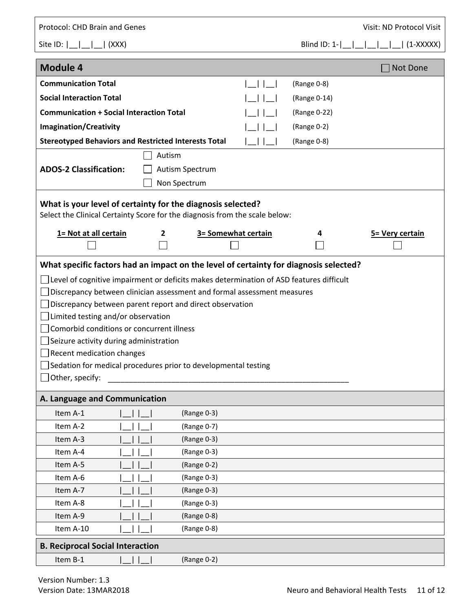| Protocol: CHD Brain and Genes                                                                                                                                       |              |                     |  |                 | Visit: ND Protocol Visit                        |  |
|---------------------------------------------------------------------------------------------------------------------------------------------------------------------|--------------|---------------------|--|-----------------|-------------------------------------------------|--|
|                                                                                                                                                                     |              |                     |  | Blind ID: $1 -$ | $\begin{bmatrix} 1 & 1 \end{bmatrix}$ (1-XXXXX) |  |
| <b>Module 4</b>                                                                                                                                                     |              |                     |  |                 | Not Done                                        |  |
| <b>Communication Total</b>                                                                                                                                          |              |                     |  | (Range 0-8)     |                                                 |  |
| <b>Social Interaction Total</b>                                                                                                                                     |              |                     |  | (Range 0-14)    |                                                 |  |
| <b>Communication + Social Interaction Total</b>                                                                                                                     |              |                     |  | (Range 0-22)    |                                                 |  |
| <b>Imagination/Creativity</b>                                                                                                                                       |              |                     |  | (Range 0-2)     |                                                 |  |
| <b>Stereotyped Behaviors and Restricted Interests Total</b>                                                                                                         |              | (Range 0-8)         |  |                 |                                                 |  |
|                                                                                                                                                                     | Autism       |                     |  |                 |                                                 |  |
| <b>ADOS-2 Classification:</b>                                                                                                                                       |              | Autism Spectrum     |  |                 |                                                 |  |
|                                                                                                                                                                     |              | Non Spectrum        |  |                 |                                                 |  |
| What is your level of certainty for the diagnosis selected?<br>Select the Clinical Certainty Score for the diagnosis from the scale below:<br>1= Not at all certain | $\mathbf{2}$ | 3= Somewhat certain |  | 4               | 5= Very certain                                 |  |
| What specific factors had an impact on the level of certainty for diagnosis selected?                                                                               |              |                     |  |                 |                                                 |  |
| Level of cognitive impairment or deficits makes determination of ASD features difficult                                                                             |              |                     |  |                 |                                                 |  |
| Discrepancy between clinician assessment and formal assessment measures                                                                                             |              |                     |  |                 |                                                 |  |
| Discrepancy between parent report and direct observation                                                                                                            |              |                     |  |                 |                                                 |  |
| Limited testing and/or observation                                                                                                                                  |              |                     |  |                 |                                                 |  |
| Comorbid conditions or concurrent illness                                                                                                                           |              |                     |  |                 |                                                 |  |
| Seizure activity during administration                                                                                                                              |              |                     |  |                 |                                                 |  |
| <b>Recent medication changes</b>                                                                                                                                    |              |                     |  |                 |                                                 |  |
| Sedation for medical procedures prior to developmental testing                                                                                                      |              |                     |  |                 |                                                 |  |
| Other, specify:                                                                                                                                                     |              |                     |  |                 |                                                 |  |
| A. Language and Communication                                                                                                                                       |              |                     |  |                 |                                                 |  |
| Item A-1                                                                                                                                                            |              | (Range 0-3)         |  |                 |                                                 |  |
| Item A-2                                                                                                                                                            |              | (Range 0-7)         |  |                 |                                                 |  |
| Item A-3                                                                                                                                                            |              | (Range 0-3)         |  |                 |                                                 |  |
| Item A-4                                                                                                                                                            |              | (Range 0-3)         |  |                 |                                                 |  |
| Item A-5                                                                                                                                                            |              | (Range 0-2)         |  |                 |                                                 |  |
| Item A-6                                                                                                                                                            |              | (Range 0-3)         |  |                 |                                                 |  |
| Item A-7                                                                                                                                                            |              | (Range 0-3)         |  |                 |                                                 |  |
| Item A-8                                                                                                                                                            |              | (Range 0-3)         |  |                 |                                                 |  |
| Item A-9                                                                                                                                                            |              | (Range 0-8)         |  |                 |                                                 |  |
| Item A-10                                                                                                                                                           | (Range 0-8)  |                     |  |                 |                                                 |  |
| <b>B. Reciprocal Social Interaction</b>                                                                                                                             |              |                     |  |                 |                                                 |  |
| Item B-1                                                                                                                                                            |              | (Range 0-2)         |  |                 |                                                 |  |